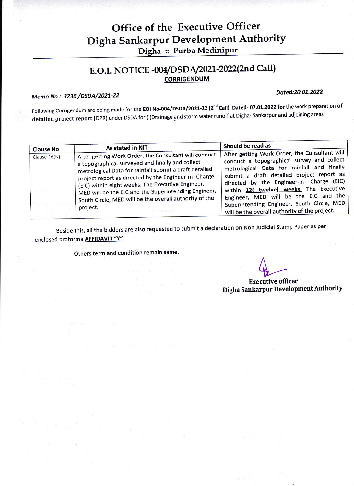# Office of the Executive Officer Digha Sankarpur Development Authority Digha :: Purba Medinipur

# E.O.I. NOTICE -004/DSDA/2021-2022(2nd Call) **CORRIGENDUM**

# Memo No: 3236 / DSDA/2021-22

## Ddted:20.07.2022

Following Corrigendum are being made for the EOI No-004/DSDA/2021-22 (2<sup>nd</sup> Call) Dated- 07.01.2022 for the work preparation of detailed project report (DPR) under DSDA for (i)Drainage and storm water runoff at Digha-Sankarpur and adjoining areas

| <b>Clause No</b> | As stated in NIT                                                                                                                                                                                                                                                                                                                                                                                                | Should be read as                                                                                                                                                                                                                                                                                                                                                                                                      |
|------------------|-----------------------------------------------------------------------------------------------------------------------------------------------------------------------------------------------------------------------------------------------------------------------------------------------------------------------------------------------------------------------------------------------------------------|------------------------------------------------------------------------------------------------------------------------------------------------------------------------------------------------------------------------------------------------------------------------------------------------------------------------------------------------------------------------------------------------------------------------|
| Clause-16(iv)    | After getting Work Order, the Consultant will conduct<br>a topographical surveyed and finally and collect<br>metrological Data for rainfall submit a draft detailed<br>project report as directed by the Engineer-in- Charge<br>(EIC) within eight weeks. The Executive Engineer,<br>MED will be the EIC and the Superintending Engineer,<br>South Circle, MED will be the overall authority of the<br>project. | After getting Work Order, the Consultant will<br>conduct a topographical survey and collect<br>metrological Data for rainfall and finally<br>submit a draft detailed project report as<br>directed by the Engineer-in- Charge (EIC)<br>within 12( twelve) weeks. The Executive<br>Engineer, MED will be the EIC and the<br>Superintending Engineer, South Circle, MED<br>will be the overall authority of the project. |

Beside this, all the bidders are also requested to submit a declaration on Non Judicial stamp Paper as per enclosed proforma **AFFIDAVIT "Y"** 

Others term and condition remain same'

**Executive officer** Digha Sankarpur Development Authority